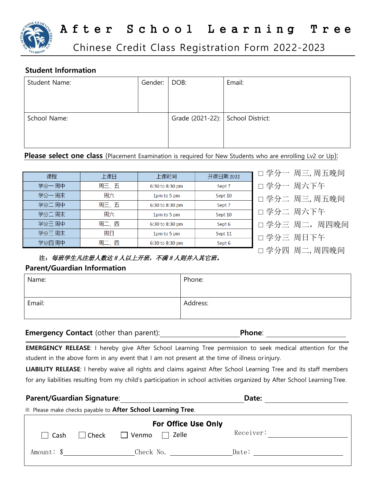

# After School Learning Tree

Chinese Credit Class Registration Form 2022-2023

#### **Student Information**

| Student Name: | Gender: | DOB:                              | Email: |
|---------------|---------|-----------------------------------|--------|
|               |         |                                   |        |
|               |         |                                   |        |
| School Name:  |         | Grade (2021-22): School District: |        |
|               |         |                                   |        |
|               |         |                                   |        |

#### **Please select one class** (Placement Examination is required for New Students who are enrolling Lv2 or Up):

| 课程     | 上课日  | 上课时间            | 开课日期 2022 |   |
|--------|------|-----------------|-----------|---|
| 学分一周中  | 周三,五 | 6:30 to 8:30 pm | Sept 7    | C |
| 学分一周末  | 周六   | 1pm to 5 pm     | Sept 10   | Г |
| 学分二周中  | 周三,五 | 6:30 to 8:30 pm | Sept 7    |   |
| 学分二周末  | 周六   | 1pm to 5 pm     | Sept 10   |   |
| 学分三 周中 | 周二,四 | 6:30 to 8:30 pm | Sept 6    | Г |
| 学分三周末  | 周日   | 1pm to 5 pm     | Sept 11   |   |
| 学分四周中  | 周二,四 | 6:30 to 8:30 pm | Sept 6    | Г |

□ 学分一 周三,周五晚间

- □ 学分一 周六下午
- □ 学分二 周三,周五晚间
- □ 学分二 周六下午
- □ 学分三 周二,周四晚间
- □ 学分三 周日下午
- □ 学分四 周二,周四晚间

### 注:每班学生凡注册人数达 8 人以上开班,不满 8 人则并入其它班。

#### **Parent/Guardian Information**

| Name:  | Phone:   |
|--------|----------|
| Email: | Address: |

#### **Emergency Contact** (other than parent): **Phone**: **Phone**:

**EMERGENCY RELEASE**: I hereby give After School Learning Tree permission to seek medical attention for the student in the above form in any event that I am not present at the time of illness orinjury.

**LIABILITY RELEASE**: I hereby waive all rights and claims against After School Learning Tree and its staff members for any liabilities resulting from my child's participation in school activities organized by After School Learning Tree.

## **Parent/Guardian Signature**: **Date:**

※ Please make checks payable to **After School Learning Tree**.

| <b>For Office Use Only</b> |                          |                              |           |  |  |  |
|----------------------------|--------------------------|------------------------------|-----------|--|--|--|
|                            | $\Box$ Cash $\Box$ Check | $\Box$ Zelle<br>$\Box$ Venmo | Receiver: |  |  |  |
| Amount: \$                 |                          | Check No.                    | Date:     |  |  |  |